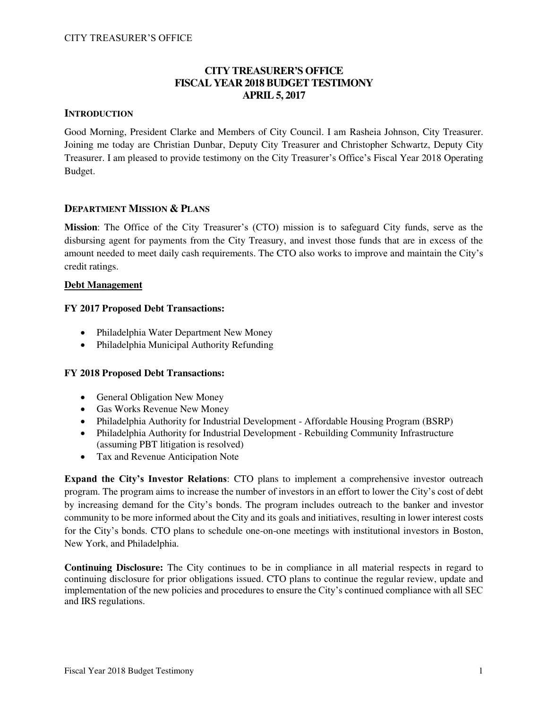## **CITY TREASURER'S OFFICE FISCAL YEAR 2018 BUDGET TESTIMONY APRIL 5, 2017**

### **INTRODUCTION**

Good Morning, President Clarke and Members of City Council. I am Rasheia Johnson, City Treasurer. Joining me today are Christian Dunbar, Deputy City Treasurer and Christopher Schwartz, Deputy City Treasurer. I am pleased to provide testimony on the City Treasurer's Office's Fiscal Year 2018 Operating Budget.

### **DEPARTMENT MISSION & PLANS**

**Mission**: The Office of the City Treasurer's (CTO) mission is to safeguard City funds, serve as the disbursing agent for payments from the City Treasury, and invest those funds that are in excess of the amount needed to meet daily cash requirements. The CTO also works to improve and maintain the City's credit ratings.

### **Debt Management**

### **FY 2017 Proposed Debt Transactions:**

- Philadelphia Water Department New Money
- Philadelphia Municipal Authority Refunding

### **FY 2018 Proposed Debt Transactions:**

- General Obligation New Money
- Gas Works Revenue New Money
- Philadelphia Authority for Industrial Development Affordable Housing Program (BSRP)
- Philadelphia Authority for Industrial Development Rebuilding Community Infrastructure (assuming PBT litigation is resolved)
- Tax and Revenue Anticipation Note

**Expand the City's Investor Relations**: CTO plans to implement a comprehensive investor outreach program. The program aims to increase the number of investors in an effort to lower the City's cost of debt by increasing demand for the City's bonds. The program includes outreach to the banker and investor community to be more informed about the City and its goals and initiatives, resulting in lower interest costs for the City's bonds. CTO plans to schedule one-on-one meetings with institutional investors in Boston, New York, and Philadelphia.

**Continuing Disclosure:** The City continues to be in compliance in all material respects in regard to continuing disclosure for prior obligations issued. CTO plans to continue the regular review, update and implementation of the new policies and procedures to ensure the City's continued compliance with all SEC and IRS regulations.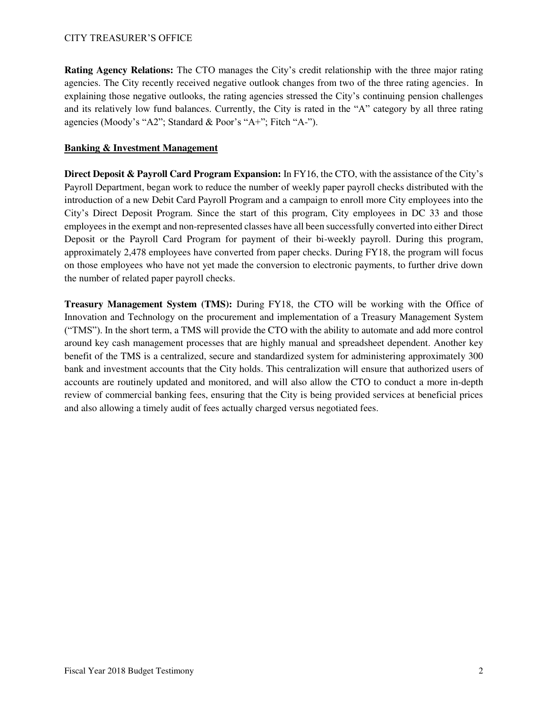**Rating Agency Relations:** The CTO manages the City's credit relationship with the three major rating agencies. The City recently received negative outlook changes from two of the three rating agencies. In explaining those negative outlooks, the rating agencies stressed the City's continuing pension challenges and its relatively low fund balances. Currently, the City is rated in the "A" category by all three rating agencies (Moody's "A2"; Standard & Poor's "A+"; Fitch "A-").

### **Banking & Investment Management**

**Direct Deposit & Payroll Card Program Expansion:** In FY16, the CTO, with the assistance of the City's Payroll Department, began work to reduce the number of weekly paper payroll checks distributed with the introduction of a new Debit Card Payroll Program and a campaign to enroll more City employees into the City's Direct Deposit Program. Since the start of this program, City employees in DC 33 and those employees in the exempt and non-represented classes have all been successfully converted into either Direct Deposit or the Payroll Card Program for payment of their bi-weekly payroll. During this program, approximately 2,478 employees have converted from paper checks. During FY18, the program will focus on those employees who have not yet made the conversion to electronic payments, to further drive down the number of related paper payroll checks.

**Treasury Management System (TMS):** During FY18, the CTO will be working with the Office of Innovation and Technology on the procurement and implementation of a Treasury Management System ("TMS"). In the short term, a TMS will provide the CTO with the ability to automate and add more control around key cash management processes that are highly manual and spreadsheet dependent. Another key benefit of the TMS is a centralized, secure and standardized system for administering approximately 300 bank and investment accounts that the City holds. This centralization will ensure that authorized users of accounts are routinely updated and monitored, and will also allow the CTO to conduct a more in-depth review of commercial banking fees, ensuring that the City is being provided services at beneficial prices and also allowing a timely audit of fees actually charged versus negotiated fees.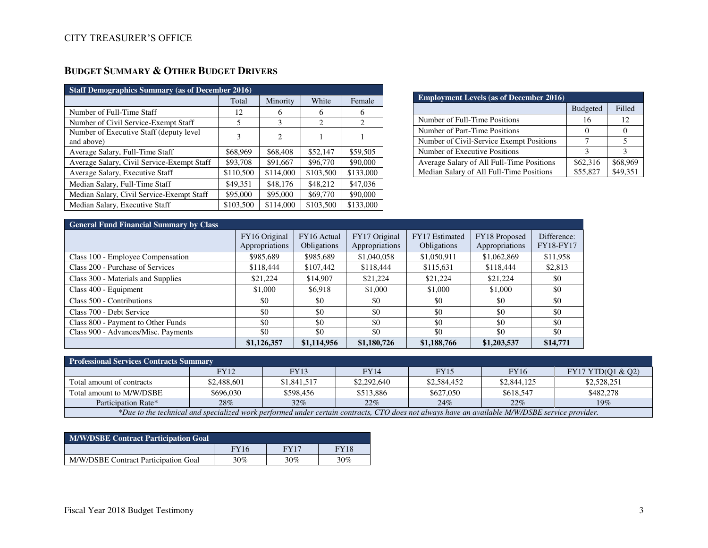# **BUDGET SUMMARY & OTHER BUDGET DRIVERS**

| <b>Staff Demographics Summary (as of December 2016)</b> |           |           |                             |           |  |  |  |  |
|---------------------------------------------------------|-----------|-----------|-----------------------------|-----------|--|--|--|--|
|                                                         | Total     | Minority  | White                       | Female    |  |  |  |  |
| Number of Full-Time Staff                               | 12        | 6         | 6                           | 6         |  |  |  |  |
| Number of Civil Service-Exempt Staff                    | 5         | 3         | $\mathcal{D}_{\mathcal{L}}$ | 2         |  |  |  |  |
| Number of Executive Staff (deputy level)<br>and above)  | 3         | 2         |                             |           |  |  |  |  |
| Average Salary, Full-Time Staff                         | \$68,969  | \$68,408  | \$52,147                    | \$59,505  |  |  |  |  |
| Average Salary, Civil Service-Exempt Staff              | \$93,708  | \$91,667  | \$96,770                    | \$90,000  |  |  |  |  |
| Average Salary, Executive Staff                         | \$110,500 | \$114,000 | \$103,500                   | \$133,000 |  |  |  |  |
| Median Salary, Full-Time Staff                          | \$49.351  | \$48,176  | \$48,212                    | \$47,036  |  |  |  |  |
| Median Salary, Civil Service-Exempt Staff               | \$95,000  | \$95,000  | \$69,770                    | \$90,000  |  |  |  |  |
| Median Salary, Executive Staff                          | \$103,500 | \$114,000 | \$103,500                   | \$133,000 |  |  |  |  |

| <b>Employment Levels (as of December 2016)</b> |                 |          |  |  |  |  |
|------------------------------------------------|-----------------|----------|--|--|--|--|
|                                                | <b>Budgeted</b> | Filled   |  |  |  |  |
| Number of Full-Time Positions                  | 16              | 12       |  |  |  |  |
| Number of Part-Time Positions                  |                 |          |  |  |  |  |
| Number of Civil-Service Exempt Positions       |                 |          |  |  |  |  |
| Number of Executive Positions                  | ς               |          |  |  |  |  |
| Average Salary of All Full-Time Positions      | \$62,316        | \$68,969 |  |  |  |  |
| Median Salary of All Full-Time Positions       | \$55,827        | \$49.351 |  |  |  |  |

## **General Fund Financial Summary by Class**

|                                     | FY16 Original<br>Appropriations | FY16 Actual<br>Obligations | FY17 Original<br>Appropriations | FY17 Estimated<br><b>Obligations</b> | FY18 Proposed<br>Appropriations | Difference:<br><b>FY18-FY17</b> |
|-------------------------------------|---------------------------------|----------------------------|---------------------------------|--------------------------------------|---------------------------------|---------------------------------|
| Class 100 - Employee Compensation   | \$985,689                       | \$985,689                  | \$1,040,058                     | \$1,050,911                          | \$1,062,869                     | \$11,958                        |
| Class 200 - Purchase of Services    | \$118,444                       | \$107.442                  | \$118,444                       | \$115,631                            | \$118,444                       | \$2,813                         |
| Class 300 - Materials and Supplies  | \$21,224                        | \$14,907                   | \$21,224                        | \$21,224                             | \$21,224                        | \$0                             |
| Class 400 - Equipment               | \$1,000                         | \$6.918                    | \$1,000                         | \$1,000                              | \$1,000                         | \$0                             |
| Class 500 - Contributions           | \$0                             | \$0                        | \$0                             | \$0                                  | \$0                             | \$0                             |
| Class 700 - Debt Service            | \$0                             | \$0                        | \$0                             | \$0                                  | \$0                             | \$0                             |
| Class 800 - Payment to Other Funds  | \$0                             | \$0                        | \$0                             | \$0                                  | \$0                             | \$0                             |
| Class 900 - Advances/Misc. Payments | \$0                             | \$0                        | \$0                             | \$0                                  | \$0                             | \$0                             |
|                                     | \$1,126,357                     | \$1,114,956                | \$1,180,726                     | \$1,188,766                          | \$1,203,537                     | \$14,771                        |

| <b>Professional Services Contracts Summary</b>                                                                                                 |             |             |             |             |             |                   |  |  |
|------------------------------------------------------------------------------------------------------------------------------------------------|-------------|-------------|-------------|-------------|-------------|-------------------|--|--|
|                                                                                                                                                | <b>FY12</b> | FY 13       | <b>FY14</b> | <b>FY15</b> | <b>FY16</b> | FY17 YTD(01 & 02) |  |  |
| Total amount of contracts                                                                                                                      | \$2,488,601 | \$1,841,517 | \$2,292,640 | \$2,584,452 | \$2,844,125 | \$2,528,251       |  |  |
| Total amount to M/W/DSBE                                                                                                                       | \$696,030   | \$598.456   | \$513,886   | \$627,050   | \$618,547   | \$482,278         |  |  |
| $32\%$<br>22%<br>28%<br>22%<br>24%<br>19%<br>Participation Rate*                                                                               |             |             |             |             |             |                   |  |  |
| *Due to the technical and specialized work performed under certain contracts, CTO does not always have an available M/W/DSBE service provider. |             |             |             |             |             |                   |  |  |

| <b>M/W/DSBE Contract Participation Goal</b> |             |             |             |  |  |  |  |
|---------------------------------------------|-------------|-------------|-------------|--|--|--|--|
|                                             | <b>FY16</b> | <b>FY17</b> | <b>FY18</b> |  |  |  |  |
| M/W/DSBE Contract Participation Goal        | 30%         | $30\%$      | $30\%$      |  |  |  |  |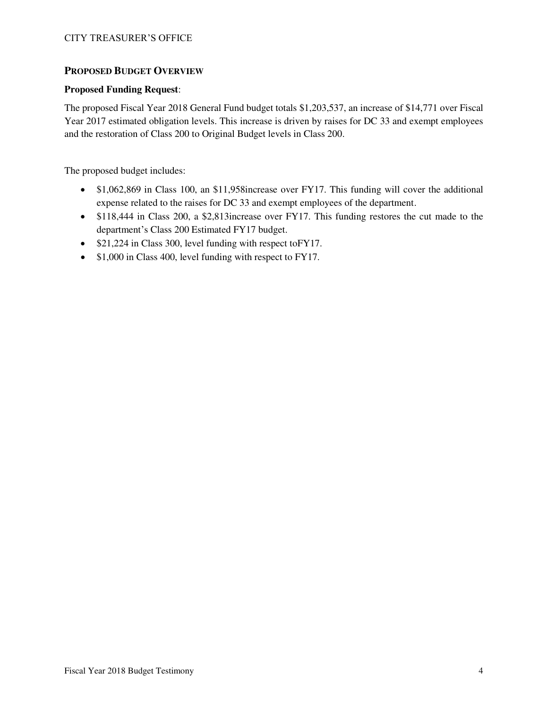### **PROPOSED BUDGET OVERVIEW**

### **Proposed Funding Request**:

The proposed Fiscal Year 2018 General Fund budget totals \$1,203,537, an increase of \$14,771 over Fiscal Year 2017 estimated obligation levels. This increase is driven by raises for DC 33 and exempt employees and the restoration of Class 200 to Original Budget levels in Class 200.

The proposed budget includes:

- \$1,062,869 in Class 100, an \$11,958 increase over FY17. This funding will cover the additional expense related to the raises for DC 33 and exempt employees of the department.
- \$118,444 in Class 200, a \$2,813 increase over FY17. This funding restores the cut made to the department's Class 200 Estimated FY17 budget.
- \$21,224 in Class 300, level funding with respect to FY17.
- \$1,000 in Class 400, level funding with respect to FY17.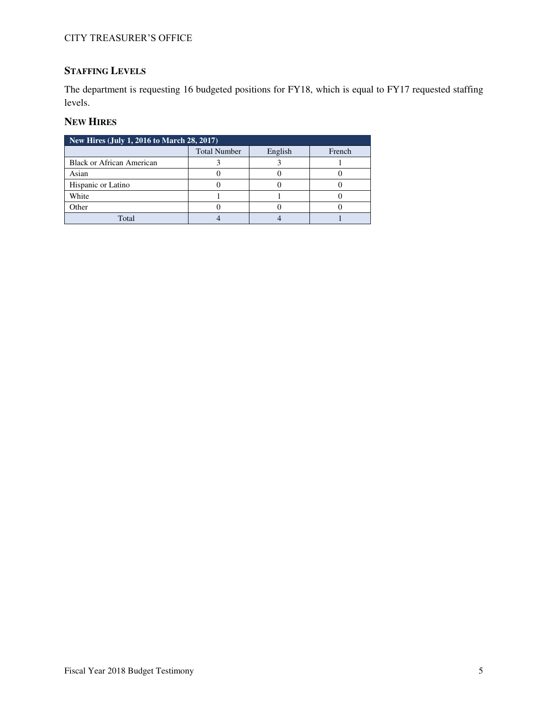# **STAFFING LEVELS**

The department is requesting 16 budgeted positions for FY18, which is equal to FY17 requested staffing levels.

### **NEW HIRES**

| New Hires (July 1, 2016 to March 28, 2017) |                     |         |        |  |  |  |  |
|--------------------------------------------|---------------------|---------|--------|--|--|--|--|
|                                            | <b>Total Number</b> | English | French |  |  |  |  |
| <b>Black or African American</b>           |                     |         |        |  |  |  |  |
| Asian                                      |                     |         |        |  |  |  |  |
| Hispanic or Latino                         |                     |         |        |  |  |  |  |
| White                                      |                     |         |        |  |  |  |  |
| Other                                      |                     |         |        |  |  |  |  |
| Total                                      |                     |         |        |  |  |  |  |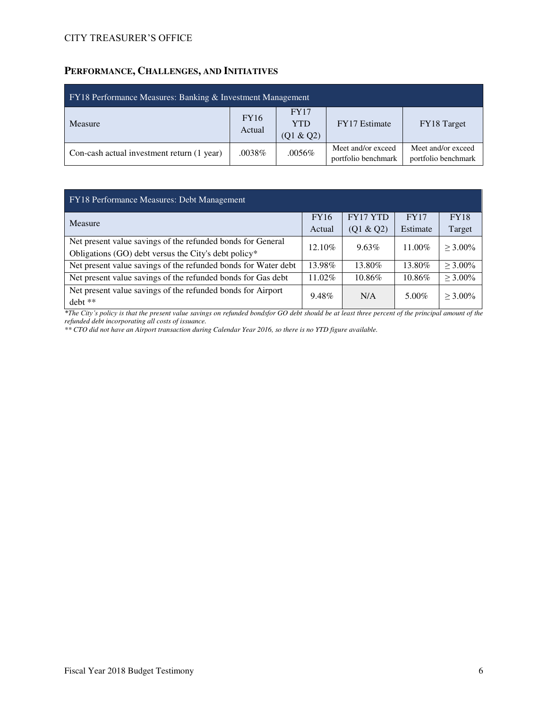## **PERFORMANCE, CHALLENGES, AND INITIATIVES**

| FY18 Performance Measures: Banking & Investment Management |                       |                                        |                                           |                                           |  |  |  |
|------------------------------------------------------------|-----------------------|----------------------------------------|-------------------------------------------|-------------------------------------------|--|--|--|
| Measure                                                    | <b>FY16</b><br>Actual | <b>FY17</b><br><b>YTD</b><br>(Q1 & Q2) | <b>FY17</b> Estimate                      | FY18 Target                               |  |  |  |
| Con-cash actual investment return (1 year)                 | $.0038\%$             | .0056%                                 | Meet and/or exceed<br>portfolio benchmark | Meet and/or exceed<br>portfolio benchmark |  |  |  |

| FY18 Performance Measures: Debt Management                     |             |                 |             |               |  |  |  |  |
|----------------------------------------------------------------|-------------|-----------------|-------------|---------------|--|--|--|--|
| Measure                                                        | <b>FY16</b> | <b>FY17 YTD</b> | <b>FY17</b> | <b>FY18</b>   |  |  |  |  |
|                                                                | Actual      | (Q1 & Q2)       | Estimate    | Target        |  |  |  |  |
| Net present value savings of the refunded bonds for General    | 12.10%      | $9.63\%$        | 11.00%      | $>$ 3.00%     |  |  |  |  |
| Obligations (GO) debt versus the City's debt policy*           |             |                 |             |               |  |  |  |  |
| Net present value savings of the refunded bonds for Water debt | 13.98%      | 13.80%          | 13.80%      | $> 3.00\%$    |  |  |  |  |
| Net present value savings of the refunded bonds for Gas debt   | $11.02\%$   | 10.86%          | 10.86%      | $\geq 3.00\%$ |  |  |  |  |
| Net present value savings of the refunded bonds for Airport    | 9.48%       | N/A             | $5.00\%$    | $>$ 3.00%     |  |  |  |  |
| debt **                                                        |             |                 |             |               |  |  |  |  |

*\*The City's policy is that the present value savings on refunded bondsfor GO debt should be at least three percent of the principal amount of the refunded debt incorporating all costs of issuance.* 

*\*\* CTO did not have an Airport transaction during Calendar Year 2016, so there is no YTD figure available.*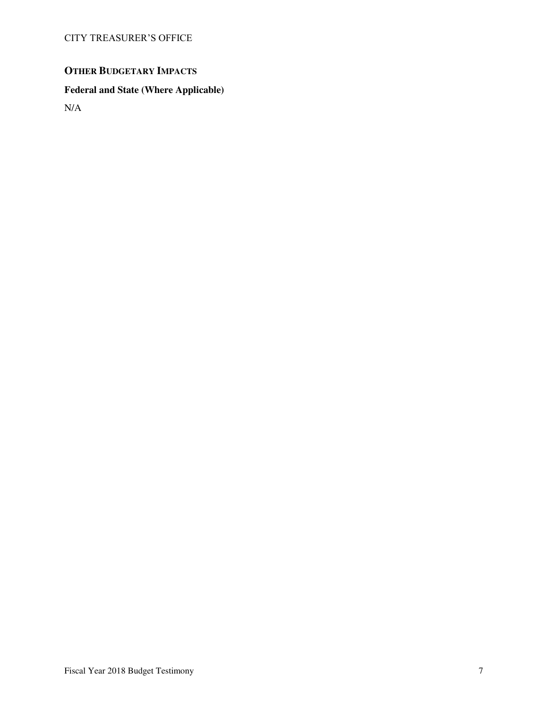# **OTHER BUDGETARY IMPACTS**

## **Federal and State (Where Applicable)**

N/A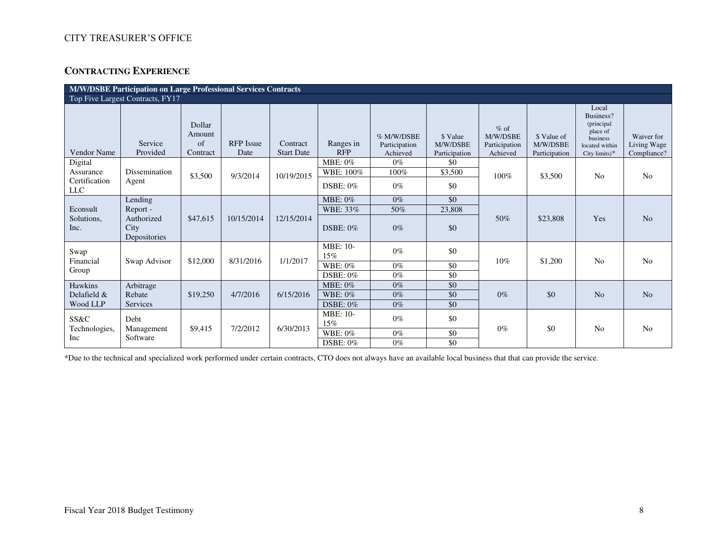## **CONTRACTING EXPERIENCE**

| <b>M/W/DSBE Participation on Large Professional Services Contracts</b> |                                    |                                    |                          |                               |                         |                                         |                                       |                                                 |                                          |                                                                                              |                                          |
|------------------------------------------------------------------------|------------------------------------|------------------------------------|--------------------------|-------------------------------|-------------------------|-----------------------------------------|---------------------------------------|-------------------------------------------------|------------------------------------------|----------------------------------------------------------------------------------------------|------------------------------------------|
|                                                                        | Top Five Largest Contracts, FY17   |                                    |                          |                               |                         |                                         |                                       |                                                 |                                          |                                                                                              |                                          |
| Vendor Name                                                            | Service<br>Provided                | Dollar<br>Amount<br>of<br>Contract | <b>RFP</b> Issue<br>Date | Contract<br><b>Start Date</b> | Ranges in<br><b>RFP</b> | % M/W/DSBE<br>Participation<br>Achieved | \$ Value<br>M/W/DSBE<br>Participation | $%$ of<br>M/W/DSBE<br>Participation<br>Achieved | \$ Value of<br>M/W/DSBE<br>Participation | Local<br>Business?<br>(principal)<br>place of<br>business<br>located within<br>City limits)* | Waiver for<br>Living Wage<br>Compliance? |
| Digital                                                                |                                    |                                    |                          |                               | MBE: 0%                 | $0\%$                                   | \$0                                   |                                                 |                                          |                                                                                              |                                          |
| Assurance                                                              | Dissemination                      | \$3,500                            | 9/3/2014                 | 10/19/2015                    | WBE: 100%               | 100%                                    | \$3,500                               | 100%                                            | \$3,500                                  | N <sub>o</sub>                                                                               | N <sub>o</sub>                           |
| Certification<br>${\rm LLC}$                                           | Agent                              |                                    |                          |                               | $DSBE: 0\%$             | $0\%$                                   | \$0                                   |                                                 |                                          |                                                                                              |                                          |
|                                                                        | Lending                            |                                    |                          |                               | <b>MBE: 0%</b>          | $0\%$                                   | \$0                                   |                                                 |                                          |                                                                                              |                                          |
| Econsult                                                               | Report -                           |                                    |                          |                               | WBE: 33%                | 50%                                     | 23,808                                |                                                 |                                          |                                                                                              |                                          |
| Solutions,<br>Inc.                                                     | Authorized<br>City<br>Depositories | \$47,615                           | 10/15/2014               | 12/15/2014                    | <b>DSBE: 0%</b>         | $0\%$                                   | \$0                                   | 50%                                             | \$23,808                                 | Yes                                                                                          | N <sub>o</sub>                           |
| Swap                                                                   |                                    |                                    | 8/31/2016                |                               | <b>MBE: 10-</b><br>15%  | $0\%$                                   | \$0                                   |                                                 |                                          |                                                                                              |                                          |
| Financial                                                              | Swap Advisor                       | \$12,000                           |                          | 1/1/2017                      | <b>WBE: 0%</b>          | $0\%$                                   | \$0                                   | 10%                                             | \$1,200                                  | N <sub>o</sub>                                                                               | N <sub>o</sub>                           |
| Group                                                                  |                                    |                                    |                          |                               | DSBE: $0\%$             | $0\%$                                   | \$0                                   |                                                 |                                          |                                                                                              |                                          |
| Hawkins                                                                | Arbitrage                          |                                    |                          |                               | MBE: 0%                 | $0\%$                                   | \$0                                   |                                                 |                                          |                                                                                              |                                          |
| Delafield &                                                            | Rebate                             | \$19,250                           | 4/7/2016                 | 6/15/2016                     | WBE: $0\%$              | $0\%$                                   | \$0                                   | $0\%$                                           | \$0                                      | N <sub>o</sub>                                                                               | N <sub>o</sub>                           |
| Wood LLP                                                               | Services                           |                                    |                          |                               | DSBE: 0%                | $0\%$                                   | \$0                                   |                                                 |                                          |                                                                                              |                                          |
| SS&C                                                                   | Debt                               |                                    |                          |                               | MBE: 10-<br>15%         | $0\%$                                   | \$0                                   |                                                 | \$0                                      |                                                                                              |                                          |
| Technologies,<br>Inc                                                   | Management<br>Software             | \$9,415                            | 7/2/2012                 | 6/30/2013                     | WBE: 0%                 | $0\%$                                   | \$0                                   | $0\%$                                           |                                          | N <sub>o</sub>                                                                               | N <sub>o</sub>                           |
|                                                                        |                                    |                                    |                          |                               | DSBE: $0\%$             | $0\%$                                   | \$0                                   |                                                 |                                          |                                                                                              |                                          |

\*Due to the technical and specialized work performed under certain contracts, CTO does not always have an available local business that that can provide the service.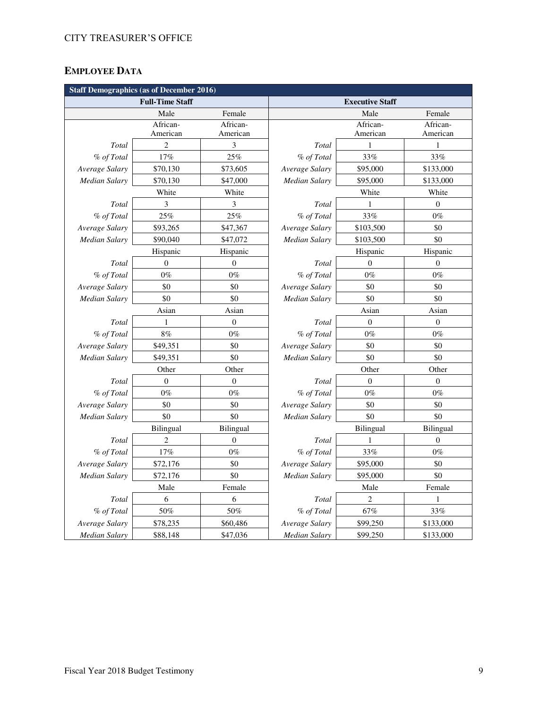# **EMPLOYEE DATA**

| <b>Staff Demographics (as of December 2016)</b> |                        |                  |                      |                        |                  |  |  |
|-------------------------------------------------|------------------------|------------------|----------------------|------------------------|------------------|--|--|
|                                                 | <b>Full-Time Staff</b> |                  |                      | <b>Executive Staff</b> |                  |  |  |
|                                                 | Male                   | Female           |                      | Male                   | Female           |  |  |
|                                                 | African-               | African-         |                      | African-               | African-         |  |  |
|                                                 | American               | American         |                      | American               | American         |  |  |
| Total                                           | $\overline{c}$         | 3                | Total                | 1                      | 1                |  |  |
| % of Total                                      | $17\%$                 | 25%              | % of Total           | 33%                    | 33%              |  |  |
| Average Salary                                  | \$70,130               | \$73,605         | Average Salary       | \$95,000               | \$133,000        |  |  |
| Median Salary                                   | \$70,130               | \$47,000         | Median Salary        | \$95,000               | \$133,000        |  |  |
|                                                 | White                  | White            |                      | White                  | White            |  |  |
| Total                                           | 3                      | 3                | Total                | 1                      | $\theta$         |  |  |
| % of Total                                      | $25\%$                 | 25%              | % of Total           | 33%                    | $0\%$            |  |  |
| Average Salary                                  | \$93,265               | \$47,367         | Average Salary       | \$103,500              | \$0              |  |  |
| Median Salary                                   | \$90,040               | \$47,072         | Median Salary        | \$103,500              | \$0              |  |  |
|                                                 | Hispanic               | Hispanic         |                      | Hispanic               | Hispanic         |  |  |
| Total                                           | $\boldsymbol{0}$       | $\boldsymbol{0}$ | Total                | $\theta$               | $\boldsymbol{0}$ |  |  |
| % of Total                                      | $0\%$                  | $0\%$            | % of Total           | $0\%$                  | $0\%$            |  |  |
| Average Salary                                  | \$0                    | \$0              | Average Salary       | \$0                    | \$0              |  |  |
| Median Salary                                   | $\$0$                  | \$0              | <b>Median Salary</b> | \$0                    | \$0              |  |  |
|                                                 | Asian                  | Asian            |                      | Asian                  | Asian            |  |  |
| Total                                           | 1                      | $\boldsymbol{0}$ | Total                | $\boldsymbol{0}$       | $\boldsymbol{0}$ |  |  |
| % of Total                                      | 8%                     | $0\%$            | % of Total           | $0\%$                  | $0\%$            |  |  |
| Average Salary                                  | \$49,351               | \$0              | Average Salary       | \$0                    | \$0              |  |  |
| Median Salary                                   | \$49,351               | \$0              | Median Salary        | \$0                    | \$0              |  |  |
|                                                 | Other                  | Other            | Other<br>Other       |                        |                  |  |  |
| Total                                           | $\mathbf{0}$           | $\boldsymbol{0}$ | Total                | $\boldsymbol{0}$       | $\boldsymbol{0}$ |  |  |
| % of Total                                      | $0\%$                  | $0\%$            | % of Total           | $0\%$                  | $0\%$            |  |  |
| Average Salary                                  | \$0                    | \$0              | Average Salary       | \$0                    | \$0              |  |  |
| Median Salary                                   | \$0                    | \$0              | Median Salary        | \$0                    | \$0              |  |  |
|                                                 | Bilingual              | Bilingual        |                      | Bilingual              | Bilingual        |  |  |
| Total                                           | $\overline{2}$         | $\mathbf{0}$     | Total                | 1                      | $\theta$         |  |  |
| % of Total                                      | $17\%$                 | $0\%$            | % of Total           | 33%                    | $0\%$            |  |  |
| Average Salary                                  | \$72,176               | \$0              | Average Salary       | \$95,000               | \$0              |  |  |
| Median Salary                                   | \$72,176               | \$0              | Median Salary        | \$95,000               | \$0              |  |  |
|                                                 | Male                   | Female           |                      | Male                   | Female           |  |  |
| Total                                           | 6                      | 6                | Total                | 2                      | $\mathbf{1}$     |  |  |
| % of Total                                      | 50%                    | 50%              | % of Total           | $67\%$                 | $33\%$           |  |  |
| Average Salary                                  | \$78,235               | \$60,486         | Average Salary       | \$99,250               | \$133,000        |  |  |
| <b>Median Salary</b>                            | \$88,148               | \$47,036         | <b>Median Salary</b> | \$99,250               | \$133,000        |  |  |